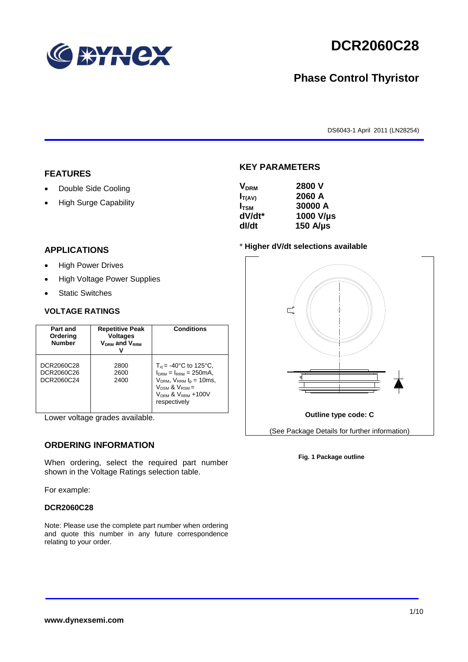

# **DCR2060C28**

## **Phase Control Thyristor**

DS6043-1 April 2011 (LN28254)

### **FEATURES**

- Double Side Cooling
- High Surge Capability

#### **APPLICATIONS**

- High Power Drives
- High Voltage Power Supplies
- Static Switches

#### **VOLTAGE RATINGS**

| Part and<br>Ordering<br><b>Number</b>  | <b>Repetitive Peak</b><br><b>Voltages</b><br>$V_{DRM}$ and $V_{RRM}$ | <b>Conditions</b>                                                                                                                                                                    |
|----------------------------------------|----------------------------------------------------------------------|--------------------------------------------------------------------------------------------------------------------------------------------------------------------------------------|
| DCR2060C28<br>DCR2060C26<br>DCR2060C24 | 2800<br>2600<br>2400                                                 | $T_{vi}$ = -40°C to 125°C,<br>$I_{DRM} = I_{RRM} = 250 \text{mA}$<br>$V_{DRM}$ , $V_{RRM}$ $t_{p}$ = 10ms,<br>$V_{DSM}$ & $V_{RSM}$ =<br>$V_{DRM}$ & $V_{RRM}$ +100V<br>respectively |

Lower voltage grades available.

### **ORDERING INFORMATION**

When ordering, select the required part number shown in the Voltage Ratings selection table.

For example:

#### **DCR2060C28**

Note: Please use the complete part number when ordering and quote this number in any future correspondence relating to your order.

## **KEY PARAMETERS**

| 2800 V<br><b>V<sub>DRM</sub></b> |  |
|----------------------------------|--|
| 2060 A<br>$I_{T(AV)}$            |  |
| 30000 A<br>I <sub>tsm</sub>      |  |
| 1000 V/µs<br>dV/dt*              |  |
| $150$ A/ $\mu$ s<br>dl/dt        |  |

#### \* **Higher dV/dt selections available**



#### **Fig. 1 Package outline**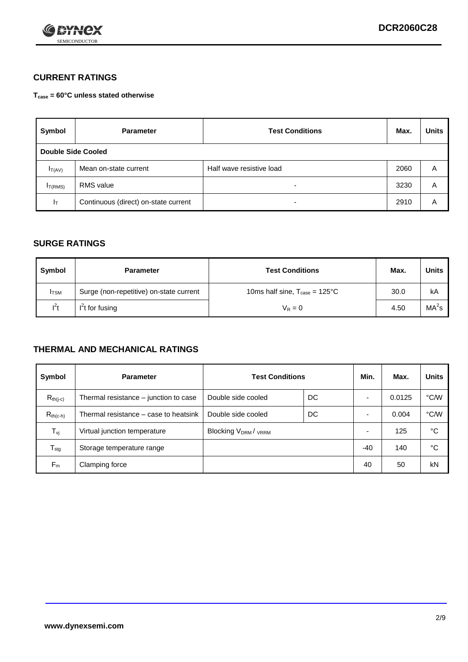

### **CURRENT RATINGS**

**Tcase = 60°C unless stated otherwise**

| Symbol             | <b>Parameter</b>                     | <b>Test Conditions</b>   | Max. | <b>Units</b> |  |
|--------------------|--------------------------------------|--------------------------|------|--------------|--|
| Double Side Cooled |                                      |                          |      |              |  |
| $I_{T(AV)}$        | Mean on-state current                | Half wave resistive load | 2060 | A            |  |
| $I_{T(RMS)}$       | RMS value                            | $\overline{\phantom{a}}$ | 3230 | Α            |  |
| Iт                 | Continuous (direct) on-state current | $\overline{\phantom{a}}$ | 2910 | Α            |  |

### **SURGE RATINGS**

| Symbol       | <b>Parameter</b>                        | <b>Test Conditions</b>                           | Max. | <b>Units</b>      |
|--------------|-----------------------------------------|--------------------------------------------------|------|-------------------|
| <b>I</b> TSM | Surge (non-repetitive) on-state current | 10ms half sine, $T_{\text{case}} = 125^{\circ}C$ | 30.0 | kA                |
| $l^2t$       | $I2t$ for fusing                        | $V_R = 0$                                        | 4.50 | MA <sup>2</sup> s |

### **THERMAL AND MECHANICAL RATINGS**

| Symbol           | <b>Parameter</b>                      | <b>Test Conditions</b>    |    | Min.  | Max.   | <b>Units</b> |
|------------------|---------------------------------------|---------------------------|----|-------|--------|--------------|
| $R_{th(j-c)}$    | Thermal resistance – junction to case | Double side cooled        | DC |       | 0.0125 | °C/W         |
| $R_{th(c-h)}$    | Thermal resistance – case to heatsink | Double side cooled        | DC |       | 0.004  | °C/W         |
| $T_{\nu j}$      | Virtual junction temperature          | <b>Blocking VDRM/VRRM</b> |    |       | 125    | °C           |
| $T_{\text{stg}}$ | Storage temperature range             |                           |    | $-40$ | 140    | °C           |
| $F_m$            | Clamping force                        |                           |    | 40    | 50     | kN           |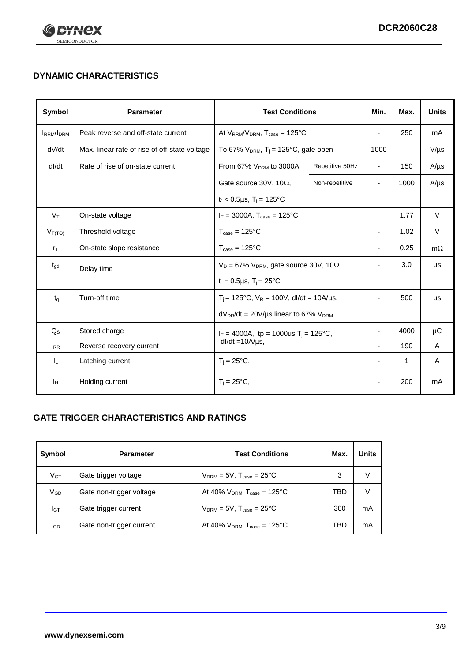

## **DYNAMIC CHARACTERISTICS**

| <b>Symbol</b>     | <b>Parameter</b>                              | <b>Test Conditions</b>                                                        |                                                      | Min.                     | Max.                     | <b>Units</b> |
|-------------------|-----------------------------------------------|-------------------------------------------------------------------------------|------------------------------------------------------|--------------------------|--------------------------|--------------|
| <b>IRRM</b> /IDRM | Peak reverse and off-state current            | At $V_{RRM}/V_{DRM}$ , $T_{case} = 125^{\circ}C$                              |                                                      | $\blacksquare$           | 250                      | mA           |
| dV/dt             | Max. linear rate of rise of off-state voltage |                                                                               | To 67% $V_{DRM}$ , T <sub>i</sub> = 125°C, gate open |                          | $\overline{\phantom{a}}$ | $V/\mu s$    |
| dl/dt             | Rate of rise of on-state current              | From 67% $V_{DRM}$ to 3000A                                                   | Repetitive 50Hz                                      | $\overline{\phantom{a}}$ | 150                      | $A/\mu s$    |
|                   |                                               | Gate source 30V, 10 $\Omega$ ,                                                | Non-repetitive                                       | $\overline{\phantom{a}}$ | 1000                     | $A/\mu s$    |
|                   |                                               | $t_r$ < 0.5µs, T <sub>i</sub> = 125°C                                         |                                                      |                          |                          |              |
| $V_T$             | On-state voltage                              | $I_T = 3000A$ , $T_{case} = 125^{\circ}C$                                     |                                                      |                          | 1.77                     | $\vee$       |
| $V_{T(TO)}$       | Threshold voltage                             | $T_{\text{case}} = 125^{\circ}C$                                              |                                                      | ٠                        | 1.02                     | $\vee$       |
| $r_{\text{T}}$    | On-state slope resistance                     | $T_{\text{case}} = 125^{\circ}C$                                              |                                                      | $\overline{\phantom{a}}$ | 0.25                     | $m\Omega$    |
| $t_{\rm gd}$      | Delay time                                    | $V_D = 67\%$ V <sub>DRM</sub> , gate source 30V, 10 $\Omega$                  |                                                      | ÷,                       | 3.0                      | μs           |
|                   |                                               | $t_r = 0.5 \mu s$ , $T_i = 25^{\circ}C$                                       |                                                      |                          |                          |              |
| $t_{q}$           | Turn-off time                                 | $T_i$ = 125°C, $V_R$ = 100V, dl/dt = 10A/µs,                                  |                                                      | ٠                        | 500                      | μs           |
|                   |                                               | $dV_{DR}/dt = 20V/\mu s$ linear to 67% $V_{DRM}$                              |                                                      |                          |                          |              |
| $Q_{\rm S}$       | Stored charge                                 | $I_T = 4000A$ , tp = 1000us, T <sub>i</sub> = 125°C,<br>$dl/dt = 10A/\mu s$ , |                                                      |                          | 4000                     | μC           |
| $I_{RR}$          | Reverse recovery current                      |                                                                               |                                                      |                          | 190                      | A            |
| IL.               | Latching current                              | $T_i = 25^{\circ}C$ ,                                                         |                                                      | -                        | 1                        | Α            |
| Iн                | Holding current                               | $T_i = 25^{\circ}C,$                                                          |                                                      |                          | 200                      | mA           |

### **GATE TRIGGER CHARACTERISTICS AND RATINGS**

| Symbol          | <b>Test Conditions</b><br><b>Parameter</b> |                                              | Max. | <b>Units</b> |
|-----------------|--------------------------------------------|----------------------------------------------|------|--------------|
| V <sub>GT</sub> | Gate trigger voltage                       | $V_{DRM} = 5V$ , $T_{case} = 25^{\circ}C$    | 3    | V            |
| V <sub>GD</sub> | Gate non-trigger voltage                   | At 40% $V_{DRM}$ , $T_{case} = 125^{\circ}C$ | TBD  | V            |
| Iст             | Gate trigger current                       | $V_{DRM} = 5V$ , $T_{case} = 25^{\circ}C$    | 300  | mA           |
| lgp             | Gate non-trigger current                   | At 40% $V_{DRM}$ , $T_{case} = 125^{\circ}C$ | TBD  | mA           |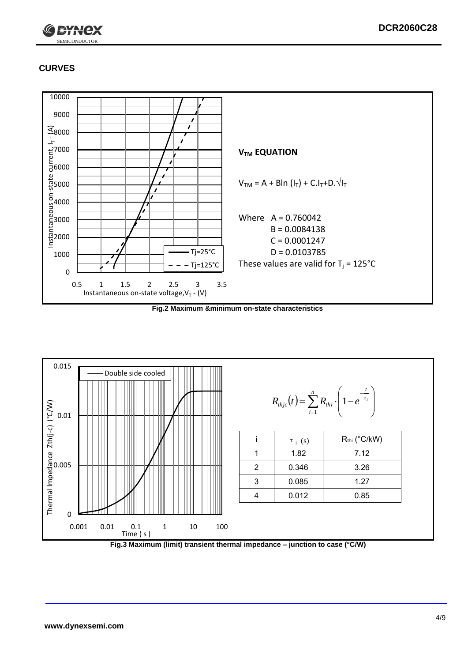

### **CURVES**



**Fig.2 Maximum &minimum on-state characteristics**



**Fig.3 Maximum (limit) transient thermal impedance – junction to case (°C/W)**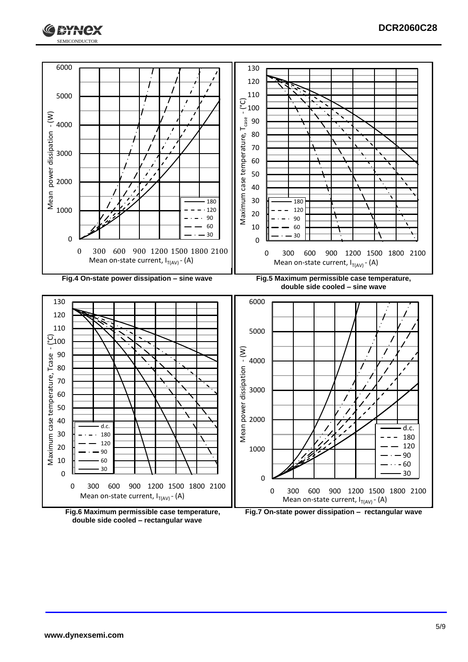





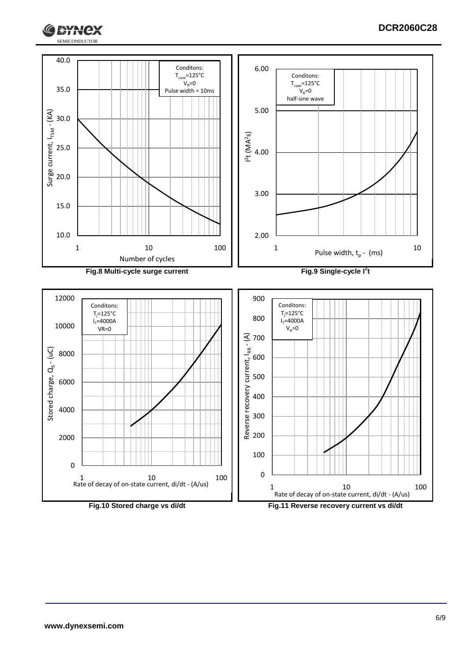



**RYNCX**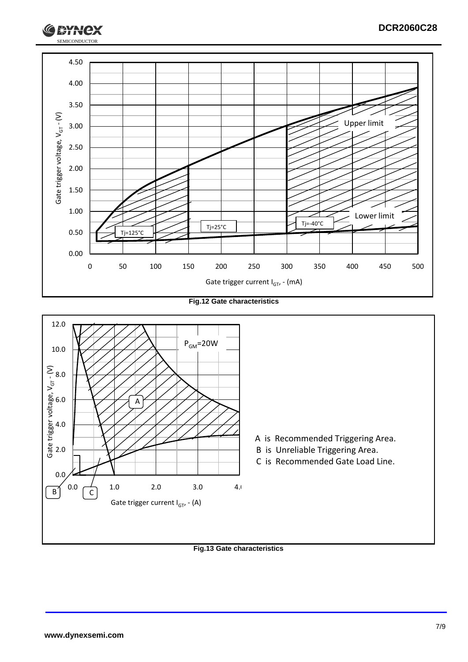

**Fig.12 Gate characteristics**



**Fig.13 Gate characteristics**

**RYH**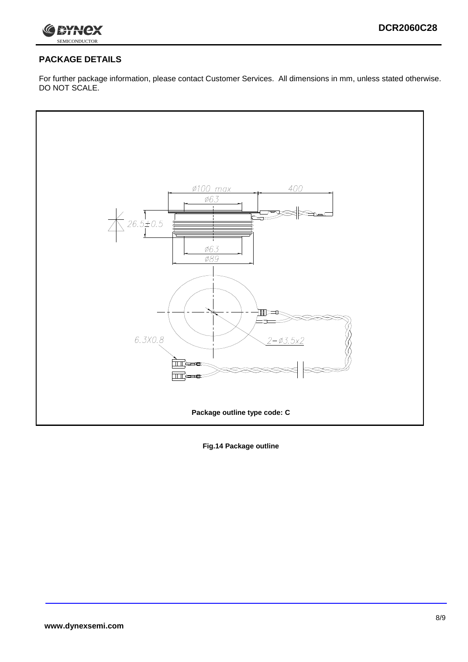

### **PACKAGE DETAILS**

For further package information, please contact Customer Services. All dimensions in mm, unless stated otherwise. DO NOT SCALE.



**Fig.14 Package outline**